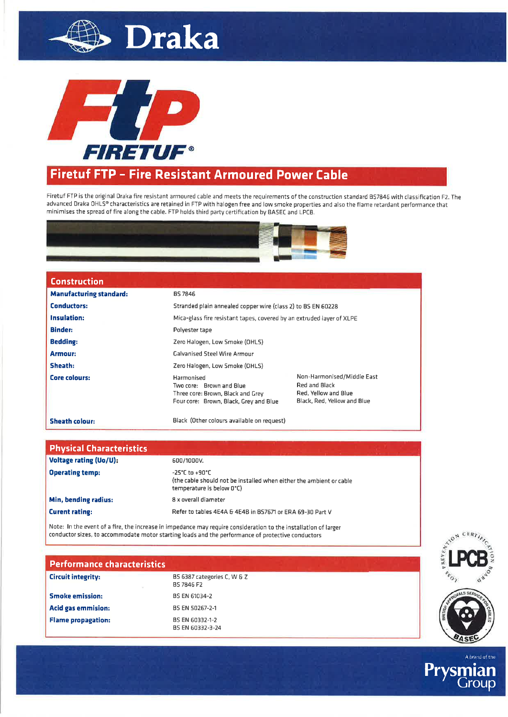



## **Firetuf FTP - Fire Resistant Armoured Power Cable**

Firetuf FTP is the original Draka fire resistant armoured cable and meets the requirements of the construction standard BS7846 with classification F2. The advanced Draka OHLS® characteristics are retained in FTP with halogen free and low smoke properties and also the flame retardant performance that minimises the spread of fire along the cable. FTP holds third party certification by BASEC and LPCB.



| <b>Construction</b>            |                                                                                                                       |                                                                                                    |  |  |
|--------------------------------|-----------------------------------------------------------------------------------------------------------------------|----------------------------------------------------------------------------------------------------|--|--|
| <b>Manufacturing standard:</b> | <b>BS 7846</b>                                                                                                        |                                                                                                    |  |  |
| <b>Conductors:</b>             | Stranded plain annealed copper wire (class 2) to BS EN 60228                                                          |                                                                                                    |  |  |
| <b>Insulation:</b>             | Mica-glass fire resistant tapes, covered by an extruded laver of XLPE                                                 |                                                                                                    |  |  |
| <b>Binder:</b>                 | Polyester tape                                                                                                        |                                                                                                    |  |  |
| <b>Bedding:</b>                | Zero Halogen, Low Smoke (OHLS)                                                                                        |                                                                                                    |  |  |
| <b>Armour:</b>                 | <b>Galvanised Steel Wire Armour</b>                                                                                   |                                                                                                    |  |  |
| Sheath:                        | Zero Halogen, Low Smoke (OHLS)                                                                                        |                                                                                                    |  |  |
| Core colours:                  | Harmonised<br>Two core: Brown and Blue<br>Three core: Brown, Black and Grey<br>Four core: Brown, Black, Grey and Blue | Non-Harmonised/Middle East<br>Red and Black<br>Red, Yellow and Blue<br>Black, Red. Yellow and Blue |  |  |
| <b>Sheath colour:</b>          | Black (Other colours available on request)                                                                            |                                                                                                    |  |  |

| <b>Physical Characteristics</b> |                                                                                                                    |  |
|---------------------------------|--------------------------------------------------------------------------------------------------------------------|--|
| Voltage rating (Uo/U):          | 600/1000V.                                                                                                         |  |
| <b>Operating temp:</b>          | -25°C to +90°C<br>(the cable should not be installed when either the ambient or cable<br>temperature is below 0°C) |  |
| Min, bending radius:            | 8 x overall diameter                                                                                               |  |
| <b>Curent rating:</b>           | Refer to tables 4E4A & 4E4B in BS7671 or ERA 69-30 Part V                                                          |  |

Note: In the event of a fire, the increase in impedance may require consideration to the installation of larger conductor sizes, to accommodate motor starting loads and the performance of protective conductors

| <b>Performance characteristics</b> |                                           |  |
|------------------------------------|-------------------------------------------|--|
| <b>Circuit integrity:</b>          | BS 6387 categories C, W & Z<br>BS 7846 F2 |  |
| <b>Smoke emission:</b>             | BS EN 61034-2                             |  |
| <b>Acid gas emmision:</b>          | BS EN 50267-2-1                           |  |
| <b>Flame propagation:</b>          | BS EN 60332-1-2<br>BS EN 60332-3-24       |  |

A prand of the

Prysr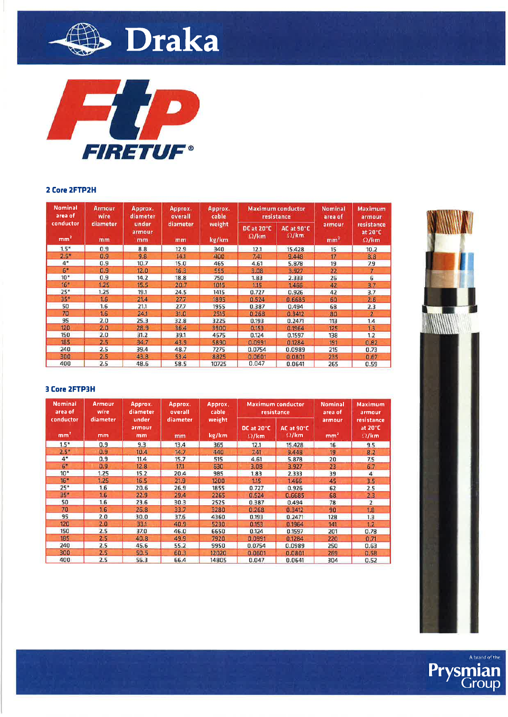



#### 2 Core 2FTP2H

| <b>Nominal</b><br>area of    | <b>Armour</b><br>wire | Approx.<br>diameter   | Approx.<br>overall | Approx.<br>cable |                            | <b>Maximum</b> conductor<br>resistance | <b>Nominal</b><br>area of | <b>Maximum</b><br>armour              |
|------------------------------|-----------------------|-----------------------|--------------------|------------------|----------------------------|----------------------------------------|---------------------------|---------------------------------------|
| conductor<br>mm <sup>2</sup> | diameter<br>mm        | under<br>armour<br>mm | diameter<br>mm     | weight<br>kg/km  | DC at 20°C<br>$\Omega$ /km | <b>AC at 90°C</b><br>$\Omega$ /km      | armour<br>mm <sup>2</sup> | resistance<br>at 20°C<br>$\Omega$ /km |
| $1.5*$                       | 0.9                   | 8.8                   | 12.9               | 340              | 12.1                       | 15.428                                 | 15                        | 10.2                                  |
| $2.5*$                       | 0.9                   | 9.8                   | 14.1               | 400              | 7.41                       | 5.448                                  | 17                        | 8.8                                   |
| $4^*$                        | 0.9                   | 10.7                  | 15.0               | 465              | 4.61                       | 5.878                                  | 19                        | 7.9                                   |
| 6"                           | 0.9                   | 12.0                  | 16.3               | 555              | 3.08                       | 3.927                                  | 22                        | 7                                     |
| $10*$                        | 0.9                   | 14.2                  | 18.8               | 750              | 1.83                       | 2.333                                  | 26                        | 6                                     |
| 16*                          | 1.25                  | 15.5                  | 20.7               | 1015             | 1.15                       | 1.466                                  | 42                        | 3.7                                   |
| $25*$                        | 1.25                  | 19.1                  | 24.5               | 1415             | 0.727                      | 0.926                                  | 42                        | 3.7                                   |
| 35*                          | 1.6                   | 21.4                  | 27.7               | 1895             | 0.524                      | 0.6685                                 | 60                        | 2.6                                   |
| 50                           | 1.6                   | 21.1                  | 27.7               | 1955             | 0.387                      | 0.494                                  | 68                        | 2.3                                   |
| 70                           | 1.6                   | 24.1                  | 31.0               | 2515             | 0.268                      | 0.3412                                 | 80                        | $\mathbf{z}$                          |
| 95                           | 2.0                   | 25.3                  | 32.8               | 3225             | 0.193                      | 0.2471                                 | 113                       | 1.4                                   |
| 120                          | 2.0                   | 28.9                  | 36.4               | 3900             | 0.153                      | 0.1964                                 | 125                       | 1.3                                   |
| 150                          | 2.0                   | 31.2                  | 39.1               | 4575             | 0.124                      | 0.1597                                 | 138                       | 1.2                                   |
| 185                          | 2.5                   | 34.7                  | 43.9               | 5890             | 0.0991                     | 0.1284                                 | 191                       | 0.82                                  |
| 240                          | 2.5                   | 39.4                  | 48.7               | 7275             | 0.0754                     | 0.0989                                 | 215                       | 0.73                                  |
| 300                          | 2.5                   | 43.8                  | 53.4               | 8825             | 0.0601                     | 0.0801                                 | 235                       | 0.67                                  |
| 400                          | 2.5                   | 48.6                  | 58.5               | 10725            | 0.047                      | 0.0641                                 | 265                       | 0.59                                  |

### **3 Core 2FTP3H**

| <b>Nominal</b><br>area of    | <b>Armour</b><br>Approx.<br>wire |                       | Approx.<br>Approx.<br>diameter<br>cable<br>overall |                 |                            | <b>Maximum</b> conductor<br>resistance | <b>Nominal</b><br>area of | Maximum<br>armour                               |
|------------------------------|----------------------------------|-----------------------|----------------------------------------------------|-----------------|----------------------------|----------------------------------------|---------------------------|-------------------------------------------------|
| conductor<br>mm <sup>2</sup> | diameter<br>mm                   | under<br>armour<br>mm | diameter<br>mm                                     | weight<br>kg/km | DC at 20°C<br>$\Omega$ /km | AC at 90°C<br>$\Omega$ /km             | armour<br>mm <sup>2</sup> | resistance<br>at $20^{\circ}$ C<br>$\Omega$ /km |
| 1.5"                         | 0.9                              | 9.3                   | 13.4                                               | 365             | 12.1                       | 15.428                                 | 16                        | 9.5                                             |
| 2.5"                         | 0.9                              | 10.4                  | 14.7                                               | 440             | 7.41                       | 9.448                                  | 19                        | 8.2                                             |
| 4"                           | 0.9                              | 11.4                  | 15.7                                               | 515             | 4.61                       | 5.878                                  | 20                        | 7.5                                             |
| 6 <sup>o</sup>               | 0.9                              | 12.8                  | 177                                                | 630             | 3.08                       | 3.927                                  | 23                        | 6.7                                             |
| $10*$                        | 1.25                             | 15.2                  | 20.4                                               | 985             | 1.83                       | 2.333                                  | 39                        | 4                                               |
| $16 -$                       | 1.25                             | 16.5                  | 21.9                                               | 1200            | 1.15                       | 1.466                                  | 45                        | 3.5                                             |
| $25*$                        | 1.6                              | 20.6                  | 26.9                                               | 1855            | 0.727                      | 0.926                                  | 62                        | 2.5                                             |
| 35 <sup>*</sup>              | 1.6.                             | 22.9                  | 29.4                                               | 2265            | 0.524                      | 0.6685                                 | 68                        | 2.3                                             |
| 50                           | 1.6                              | 23.6                  | 30.3                                               | 2525            | 0.387                      | 0.494                                  | 78                        | $\overline{z}$                                  |
| 70                           | 1.6                              | 26.8                  | 33.7                                               | 3280            | 0.268                      | 0.3412                                 | 90                        | 1.8                                             |
| 95                           | 2.0                              | 30.0                  | 37.6                                               | 4360            | 0.193                      | 0.2471                                 | 128                       | 1.3                                             |
| 120                          | 2.0                              | 33.1                  | 40.9                                               | 5230            | 0.153                      | 0.1964                                 | 141                       | 1.2                                             |
| 150                          | 2.5                              | 37.0                  | 46.0                                               | 6650            | 0.124                      | 0.1597                                 | 201                       | 0.78                                            |
| 185                          | 2.5                              | 40.8                  | 49.9                                               | 7920            | 0.0991                     | 0.1284                                 | 220                       | 0.71                                            |
| 240                          | 2.5                              | 45.6                  | 55.2                                               | 9950            | 0.0754                     | 0.0989                                 | 250                       | 0.63                                            |
| 300                          | 2.5                              | 50.5                  | 60.3                                               | 12020           | 0.0601                     | 0.0801                                 | 269                       | 0.58                                            |
| 400                          | 2.5                              | 56.3                  | 66.4                                               | 14805           | 0.047                      | 0.0641                                 | 304                       | 0.52                                            |



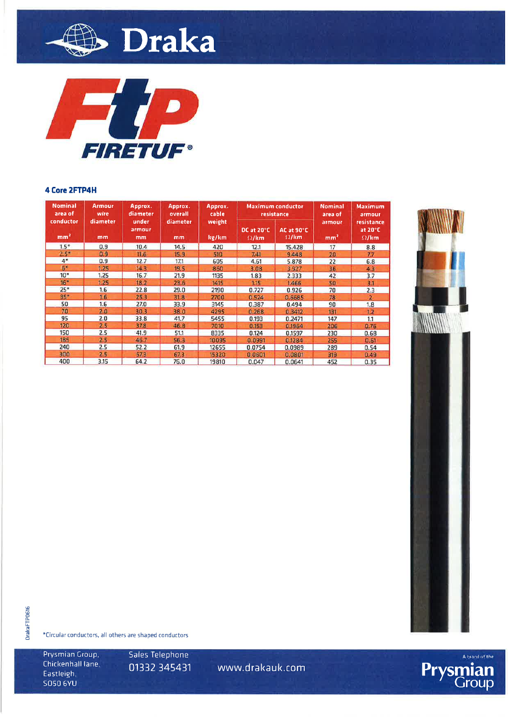



### 4 Core 2FTP4H

| <b>Nominal</b><br><b>Armour</b><br>wire<br>area of |                                                      | Approx.<br>diameter | Approx.<br>overall | Approx.<br>cable                                         |        | <b>Maximum conductor</b><br>resistance | Nominal<br>area of                              | <b>Maximum</b><br>armour |  |
|----------------------------------------------------|------------------------------------------------------|---------------------|--------------------|----------------------------------------------------------|--------|----------------------------------------|-------------------------------------------------|--------------------------|--|
| mm <sup>2</sup>                                    | conductor<br>diameter<br>under<br>armour<br>mm<br>mm | diameter<br>mm      | weight<br>kg/km    | DC at 20°C<br>AC at 90°C<br>$\Omega$ /km<br>$\Omega$ /km |        | armour<br>mm <sup>2</sup>              | resistance<br>at $20^{\circ}$ C<br>$\Omega$ /km |                          |  |
| $1.5*$                                             | 0.9                                                  | 10.4                | 14.5               | 420                                                      | 12.1   | 15.428                                 | 17                                              | 8.8                      |  |
| $2.5*$                                             | 0.9                                                  | 11.6                | 15.9               | 510                                                      | 741    | 9.448                                  | 20                                              | 7.7                      |  |
| $4*$                                               | 0.9                                                  | 12.7                | 17.1               | 605                                                      | 4.61   | 5.878                                  | 22                                              | 6.8                      |  |
| 61                                                 | 1.25                                                 | 14.3                | 19.5               | 860                                                      | 3.08   | 3.927                                  | 36                                              | 4.3                      |  |
| $10*$                                              | 1.25                                                 | 16.7                | 21.9               | 1135                                                     | 1.83   | 2.333                                  | 42                                              | 3.7                      |  |
| $16*$                                              | 1.25                                                 | 18.2                | 23.6               | 1415                                                     | 1.15   | 1.466                                  | 50                                              | 3.1                      |  |
| $25*$                                              | 1.6                                                  | 22.8                | 29.0               | 2190                                                     | 0.727  | 0.926                                  | 70                                              | 2.3                      |  |
| $35*$                                              | 1.6                                                  | 25.3                | 31.8               | 2700                                                     | 0.524  | 0.6685                                 | 78                                              | 2                        |  |
| 50                                                 | 1.6                                                  | 27.0                | 33.9               | 3145                                                     | 0.387  | 0.494                                  | 90                                              | 1.8                      |  |
| 70                                                 | 2.0                                                  | 30.3                | 38.0               | 4295                                                     | 0.258  | 0.3412                                 | 131                                             | 1.2                      |  |
| 95                                                 | 2.0                                                  | 33.8                | 41.7               | 5455                                                     | 0.193  | 0.2471                                 | 147                                             | 1.1                      |  |
| 120                                                | 2.5                                                  | 37.8                | 46.8               | 7010                                                     | 0.153  | 0.1964                                 | 206                                             | 0.76                     |  |
| 150                                                | 2.5                                                  | 41.9                | 51.1               | 8335                                                     | 0.124  | 0.1597                                 | 230                                             | 0.68                     |  |
| 185                                                | 2.5                                                  | 46.7                | 56.3               | 10095                                                    | 0.0991 | 0.1284                                 | 255                                             | 0.61                     |  |
| 240                                                | 2.5                                                  | 52.2                | 61.9               | 12655                                                    | 0.0754 | 0.0989                                 | 289                                             | 0.54                     |  |
| 300                                                | 2.5                                                  | 57.3                | 67.3               | 15320                                                    | 0.0601 | 0.0801                                 | 319                                             | 0.49                     |  |
| 400                                                | 3.15                                                 | 64.2                | 76.0               | 19810                                                    | 0.047  | 0.0641                                 | 452                                             | 0.35                     |  |



**DrakaFTPD616** 

\*Circular conductors, all others are shaped conductors

Prysmian Group, Chickenhall lane, Eastleigh, **SO50 6YU** 

Sales Telephone 01332 345431

www.drakauk.com

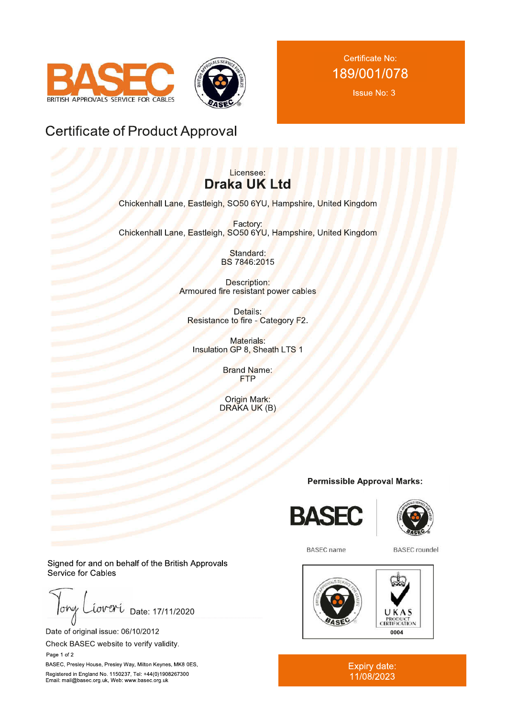



Certificate No: 189/001/078

**Issue No: 3** 

## **Certificate of Product Approval**

## Licensee: **Draka UK Ltd**

Chickenhall Lane, Eastleigh, SO50 6YU, Hampshire, United Kingdom

Factory: Chickenhall Lane, Eastleigh, SO50 6YU, Hampshire, United Kingdom

> Standard: BS 7846:2015

**Description:** Armoured fire resistant power cables

Details: Resistance to fire - Category F2.

Materials: Insulation GP 8, Sheath LTS 1

> **Brand Name: FTP**

Origin Mark:<br>DRAKA UK (B)

## **Permissible Approval Marks:**





**BASEC** name

**BASEC** roundel



Expiry date:<br>11/08/2023

Signed for and on behalf of the British Approvals Service for Cables

lohu Date: 17/11/2020

Date of original issue: 06/10/2012

Check BASEC website to verify validity. Page 1 of 2

BASEC, Presley House, Presley Way, Milton Keynes, MK8 0ES, Registered in England No. 1150237, Tel: +44(0)1908267300 Email: mail@basec.org.uk, Web: www.basec.org.uk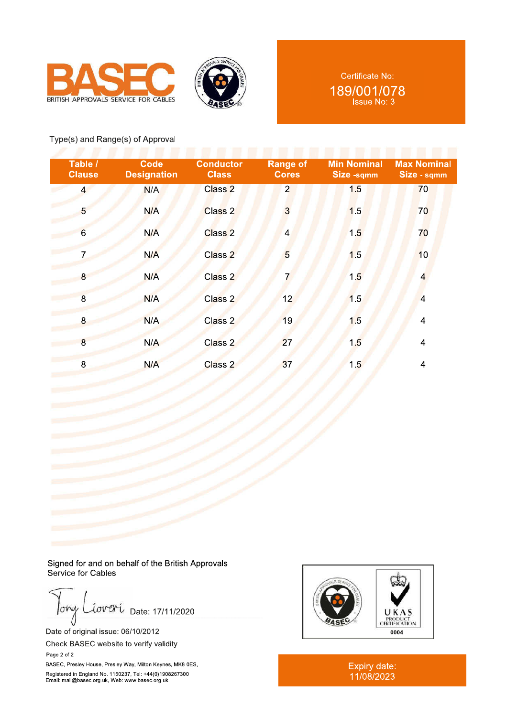



## Type(s) and Range(s) of Approval

| Table /<br><b>Clause</b> | Code<br><b>Designation</b> | <b>Conductor</b><br><b>Class</b> | <b>Range of</b><br><b>Cores</b> | <b>Min Nominal</b><br>Size -sqmm | <b>Max Nominal</b><br>Size - sqmm |
|--------------------------|----------------------------|----------------------------------|---------------------------------|----------------------------------|-----------------------------------|
| $\overline{4}$           | N/A                        | Class <sub>2</sub>               | $\overline{2}$                  | 1.5                              | 70                                |
| 5                        | N/A                        | Class 2                          | $\overline{3}$                  | 1.5                              | 70                                |
| $6\overline{6}$          | N/A                        | Class <sub>2</sub>               | $\overline{4}$                  | 1.5                              | 70                                |
|                          | N/A                        | Class <sub>2</sub>               | 5                               | 1.5                              | 10                                |
| 8                        | N/A                        | Class 2                          |                                 | 1.5                              | $\overline{4}$                    |
| $\overline{8}$           | N/A                        | Class 2                          | 12                              | 1.5                              | $\overline{4}$                    |
| $\boldsymbol{8}$         | N/A                        | Class 2                          | 19                              | 1.5                              | $\overline{4}$                    |
| 8                        | N/A                        | Class 2                          | 27                              | 1.5                              | $\overline{4}$                    |
| 8                        | N/A                        | Class <sub>2</sub>               | 37                              | 1.5                              | $\overline{4}$                    |

Signed for and on behalf of the British Approvals Service for Cables

 $low<sub>f</sub>$ Date: 17/11/2020 cover

Date of orig

Page 2 of 2

()<br>Date of original issue: 06/10/2012<br>Check BASEC website to verify validity.

BASEC, Presley House, Presley Way, Milton Keynes, MK8 0ES, BASEC, Presley House, Presley Way, Milton Keynes, MK8 0E<br>Registered in England No. 1150237, Tel: +44(0)1908267300<br>Email: mail@basec.org.uk, Web: www.basec.org.uk



\*>' )N-5 11/08/2023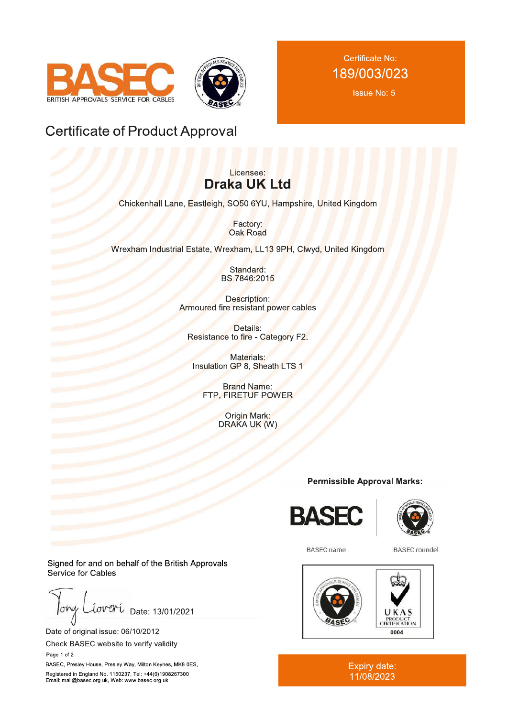

Certificate No: 189/003/023

**Issue No: 5** 

## **Certificate of Product Approval**

## Licensee: **Draka UK Ltd**

Chickenhall Lane, Eastleigh, SO50 6YU, Hampshire, United Kingdom

Factory: Oak Road

Wrexham Industrial Estate, Wrexham, LL13 9PH, Clwyd, United Kingdom

Standard: BS 7846:2015

Description: Armoured fire resistant power cables

Details: Resistance to fire - Category F2.

Materials: Insulation GP 8, Sheath LTS 1

**Brand Name:** FTP, FIRETUF POWER

> **Origin Mark:** DRAKA UK (W)

## **Permissible Approval Marks:**





**BASEC** name

**BASEC** roundel



Expiry date:<br>11/08/2023

Signed for and on behalf of the British Approvals Service for Cables

lohu Date: 13/01/2021

Date of original issue: 06/10/2012

Check BASEC website to verify validity. Page 1 of 2

BASEC, Presley House, Presley Way, Milton Keynes, MK8 0ES, Registered in England No. 1150237, Tel: +44(0)1908267300 Email: mail@basec.org.uk, Web: www.basec.org.uk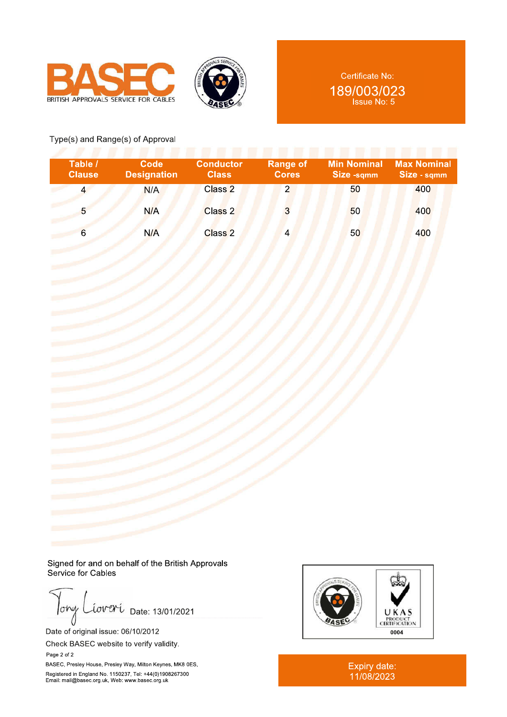



Certificate No: 189/003/023 Issue No: 5

## Type(s) and Range(s) of Approval

| Table /<br><b>Clause</b> | Code<br><b>Designation</b> | <b>Conductor</b><br><b>Class</b> | <b>Range of</b><br><b>Cores</b> | Min Nominal<br>Size -sqmm | <b>Max Nominal</b><br>Size - sqmm |
|--------------------------|----------------------------|----------------------------------|---------------------------------|---------------------------|-----------------------------------|
|                          | N/A                        | Class 2                          | $\overline{2}$                  | 50                        | 400                               |
| 5                        | N/A                        | Class 2                          | 3                               | 50                        | 400                               |
| 6                        | N/A                        | Class 2                          | 4                               | 50                        | 400                               |

Signed for and on behalf of the British Approvals Service for Cables

 $low$ *Lover* Date: 13/01/2021

Date of original issue: 06/10/2012

Check BASEC website to verify validity. Page 2 of 2

BASEC, Presley House, Presley Way, Milton Keynes, MK8 0ES, Registered in England No. 1150237, Tel: +44(0)1908267300<br>Email: mail@basec.org.uk, Web: www.basec.org.uk



Expiry date:<br>11/08/2023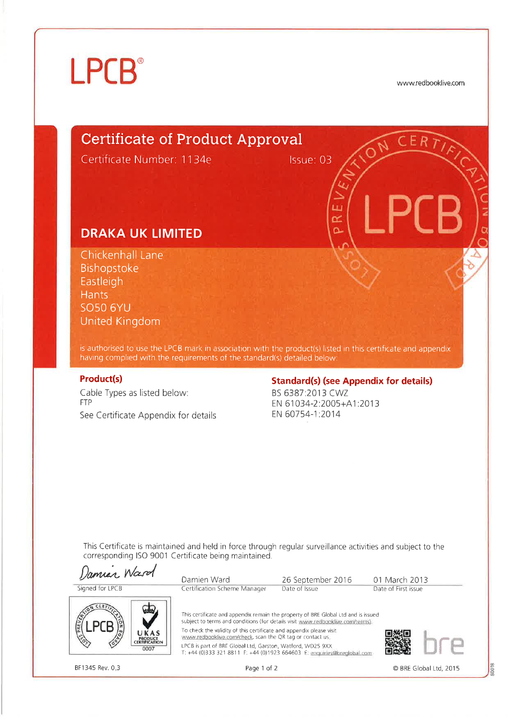# **LPCB**<sup>®</sup>

www.redbooklive.com

CER

# **Certificate of Product Approval**

Certificate Number: 1134e

Issue: 03

i ri œ o

## **DRAKA UK LIMITED**

Chickenhall Lane Bishopstoke Eastleigh **Hants SO50 6YU United Kingdom** 

is authorised to use the LPCB mark in association with the product(s) listed in this certificate and appendix having complied with the requirements of the standard(s) detailed below:

#### **Product(s)**

Cable Types as listed below: **FTP** See Certificate Appendix for details

## **Standard(s) (see Appendix for details)**

BS 6387:2013 CWZ EN 61034-2:2005+A1:2013 EN 60754-1:2014

This Certificate is maintained and held in force through regular surveillance activities and subject to the corresponding ISO 9001 Certificate being maintained.



Page 1 of 2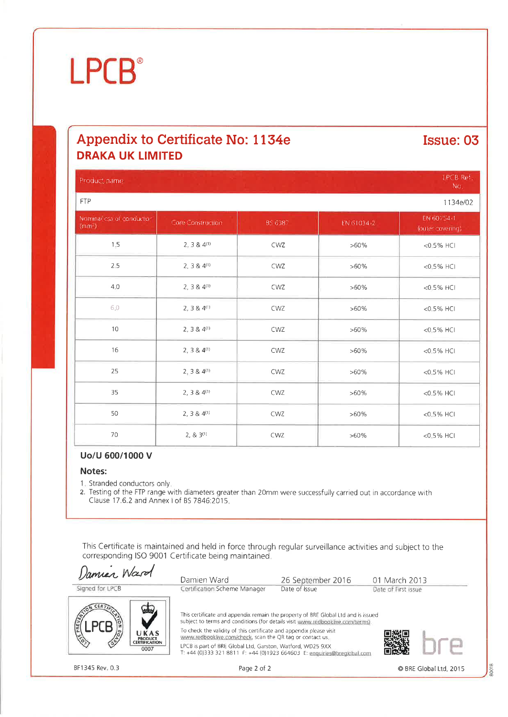# **LPCB**<sup>®</sup>

## Appendix to Certificate No: 1134e **DRAKA UK LIMITED**

## Issue: 03

| Product name:                                  |                        |         |            | LPCB Ref.<br>No.               |
|------------------------------------------------|------------------------|---------|------------|--------------------------------|
| <b>FTP</b>                                     |                        |         |            | 1134e/02                       |
| Nominal esa of conductor<br>(mm <sup>2</sup> ) | Core Construction.     | BS 6387 | EN 61034-2 | EN 60754-1<br>Touter covering: |
| 1.5                                            | $2, 3 & 4^{(1)}$       | CWZ     | $>60\%$    | $<0.5%$ HCI                    |
| 2:5                                            | $2, 384^{(1)}$         | CWZ     | $>60\%$    | $<0.5%$ HCI                    |
| 4.0                                            | $2, 3 & 4^{(1)}$       | CWZ     | $>60\%$    | $<0.5%$ HCI                    |
| 6,0                                            | $2, 3 & 4^{(1)}$       | CWZ     | >60%       | <0.5% HCI                      |
| 10                                             | $2, 3 & 4^{(1)}$       | CWZ     | $>60\%$    | <0.5% HCI                      |
| 16                                             | $2, 3 & 4^{(1)}$       | CWZ     | $>60\%$    | <0.5% HCI                      |
| 25                                             | $2, 3 & 4^{(1)}$       | CWZ     | $>60\%$    | $<0.5%$ HCI                    |
| 35                                             | $2, 3 & 4^{(1)}$       | CWZ     | $>60\%$    | <0.5% HCI                      |
| 50                                             | $2, 3 & 4^{(1)}$       | CWZ     | $>60\%$    | $<$ 0.5% HCI                   |
| 70                                             | 2, 8, 3 <sup>(1)</sup> | CWZ     | $>60\%$    | <0.5% HCI                      |

## Uo/U 600/1000 V

#### Notes:

1. Stranded conductors only.

2. Testing of the FTP range with diameters greater than 20mm were successfully carried out in accordance with Clause 17.6.2 and Annex I of BS 7846:2015

This Certificate is maintained and held in force through regular surveillance activities and subject to the corresponding ISO 9001 Certificate being maintained.

Damier Ward Damien Ward 26 September 2016 01 March 2013 Signed for LPCB Certification Scheme Manager Date of Issue Date of First issue This certificate and appendix remain the property of BRE Global Ltd and is issued subject to terms and conditions (for details visit www.redbooklive.com/terms). To check the validity of this certificate and appendix please visit UKAS www.redbooklive.com/check, scan the QR tag or contact us. **PRODUCT<br>CERTIFICATION** LPCB is part of BRE Global Ltd, Garston, Watford, WD25 9XX 0007 T: +44 (0)333 321 8811 F: +44 (0)1923 664603 E: enquiries@breglobal.com

BF1345 Rev. 0.3

© BRE Global Ltd, 2015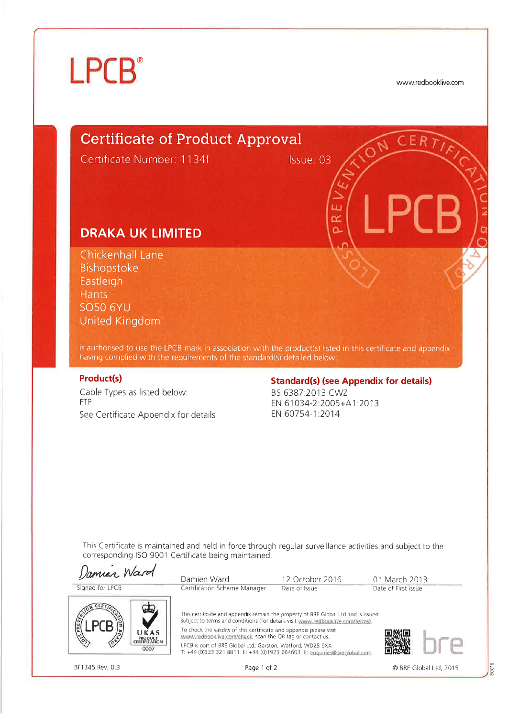# **LPCB**<sup>®</sup>

www.redbooklive.com

80018

CER 7

# **Certificate of Product Approval**

Certificate Number: 1134f

Issue: 03

Ĥ. œ ö

## **DRAKA UK LIMITED**

Chickenhall Lane Bishopstoke Eastleigh **Hants SO50 6YU United Kingdom** 

is authorised to use the LPCB mark in association with the product(s) listed in this certificate and appendix having complied with the requirements of the standard(s) detailed below:

### **Product(s)**

Cable Types as listed below: **FTP** See Certificate Appendix for details

## **Standard(s) (see Appendix for details)**

BS 6387:2013 CWZ EN 61034-2:2005+A1:2013 EN 60754-1:2014

This Certificate is maintained and held in force through regular surveillance activities and subject to the corresponding ISO 9001 Certificate being maintained.

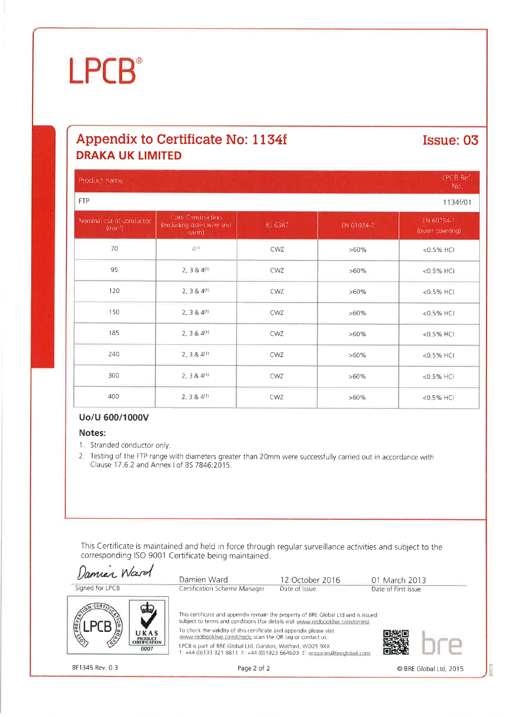# **LPCB**

## Appendix to Certificate No: 1134f **DRAKA UK LIMITED**

## Issue: 03

| Product name.                     |                                                          |         |            | <b>LPCB Ref</b><br>No.         |
|-----------------------------------|----------------------------------------------------------|---------|------------|--------------------------------|
| <b>FTP</b>                        |                                                          |         |            | 1134f/01                       |
| Nominal csa of conductor.<br>(mm) | Core Construction<br>lexciudino dram wire and<br>earth). | 85.6387 | EN 61034-2 | EN 60754-1<br>Touter covering. |
| 70                                | $\triangleq$ (1)                                         | CWZ     | $>60\%$    | <0.5% HCI                      |
| 95                                | 2, 3 & $4^{(1)}$                                         | CWZ     | $>60\%$    | <0.5% HCI                      |
| 120                               | 2, 3 & $4^{(1)}$                                         | CWZ     | $>60\%$    | $<0.5%$ HCI                    |
| 150                               | 2, 3 & $4^{(1)}$                                         | CWZ     | $>60\%$    | $<0.5%$ HCI                    |
| 185                               | 2, 3 & 4 <sup>(1)</sup>                                  | CWZ     | $>60\%$    | $<0.5%$ HCI                    |
| 240                               | $2, 3 & 4^{(1)}$                                         | CWZ     | $>60\%$    | <0.5% HCI                      |
| 300                               | 2, 3 & $4^{(1)}$                                         | CWZ     | $>60\%$    | <0.5% HCI                      |
| 400                               | 2, 3 & 4 <sup>(1)</sup>                                  | CWZ     | $>60\%$    | <0.5% HCI                      |

#### Uo/U 600/1000V

#### Notes:

- 1. Stranded conductor only.
- 2. Testing of the FTP range with diameters greater than 20mm were successfully carried out in accordance with Clause 17 6 2 and Annex I of BS 7846:2015

This Certificate is maintained and held in force through regular surveillance activities and subject to the corresponding ISO 9001 Certificate being maintained.

Damier Ward Damien Ward 12 October 2016 01 March 2013 Signed for LPCB Certification Scheme Manager Date of Issue Date of First issue This certificate and appendix remain the property of BRE Global Ltd and is issued subject to terms and conditions (for details visit www.redbooklive.com/terms). To check the validity of this certificate and appendix please visit UKAS www.redbooklive.com/check, scan the QR tag or contact us. *PRODUCT*<br>CERTIFICATION LPCB is part of BRE Global Ltd, Garston, Watford, WD25 9XX 0007 T: +44 (0)333 321 8811 F: +44 (0)1923 664603 E: enquiries@breglobal.com

© BRE Global Ltd, 2015

0018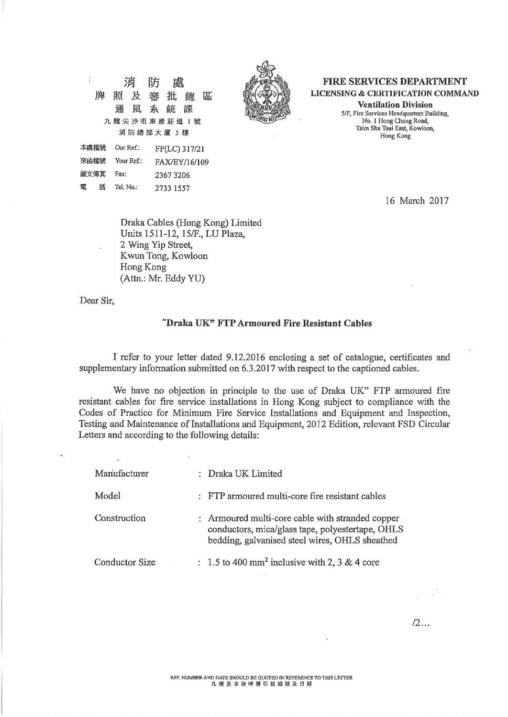$\frac{1}{2}$ 消 防 屍 牌 照 及 審 批 總 區 通風系統 課 九龍尖沙咀東康莊道 1號 消防總部大廈 5 樓

Our Ref.:

Your Ref.:

Tel. No.:

Fax:



**FIRE SERVICES DEPARTMENT LICENSING & CERTIFICATION COMMAND Ventilation Division** 

5/F, Fire Services Headquarters Building, No. 1 Hong Chong Road, Tsim Sha Tsui East, Kowloon, Hong Kong

16 March 2017

Draka Cables (Hong Kong) Limited Units 1511-12, 15/F., LU Plaza, 2 Wing Yip Street, Kwun Tong, Kowloon Hong Kong (Attn.: Mr. Eddy YU)

FP(LC) 317/21

FAX/EY/16/109

23673206

2733 1557

Dear Sir,

本處檔號

來函檔號

圖文傳真

話

電

#### "Draka UK" FTP Armoured Fire Resistant Cables

I refer to your letter dated 9.12.2016 enclosing a set of catalogue, certificates and supplementary information submitted on 6.3.2017 with respect to the captioned cables.

We have no objection in principle to the use of Draka UK" FTP armoured fire resistant cables for fire service installations in Hong Kong subject to compliance with the Codes of Practice for Minimum Fire Service Installations and Equipment and Inspection, Testing and Maintenance of Installations and Equipment, 2012 Edition, relevant FSD Circular Letters and according to the following details:

| Manufacturer   |  | : Draka UK Limited                                                                                                                                     |
|----------------|--|--------------------------------------------------------------------------------------------------------------------------------------------------------|
| Model          |  | : FTP armoured multi-core fire resistant cables                                                                                                        |
| Construction   |  | : Armoured multi-core cable with stranded copper<br>conductors, mica/glass tape, polyestertape, OHLS<br>bedding, galvanised steel wires, OHLS sheathed |
| Conductor Size |  | : 1.5 to 400 mm <sup>2</sup> inclusive with 2, 3 & 4 core                                                                                              |

 $\sim^5$